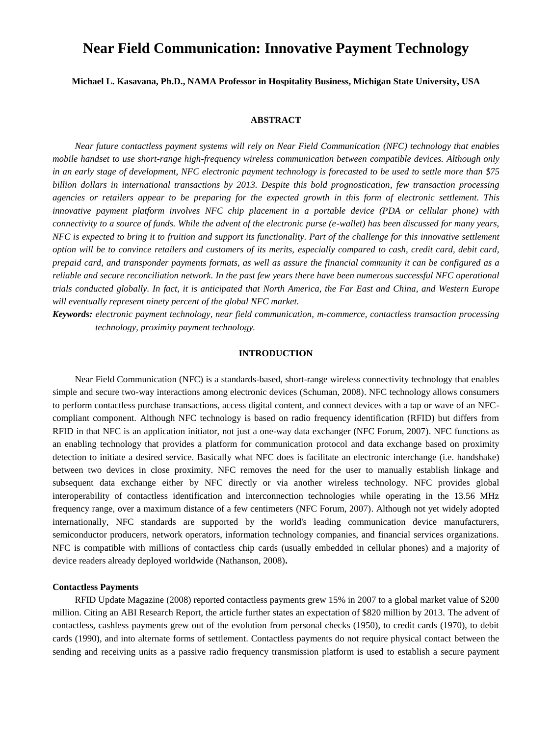# **Near Field Communication: Innovative Payment Technology**

**Michael L. Kasavana, Ph.D., NAMA Professor in Hospitality Business, Michigan State University, USA**

# **ABSTRACT**

*Near future contactless payment systems will rely on Near Field Communication (NFC) technology that enables mobile handset to use short-range high-frequency wireless communication between compatible devices. Although only in an early stage of development, NFC electronic payment technology is forecasted to be used to settle more than \$75 billion dollars in international transactions by 2013. Despite this bold prognostication, few transaction processing agencies or retailers appear to be preparing for the expected growth in this form of electronic settlement. This innovative payment platform involves NFC chip placement in a portable device (PDA or cellular phone) with connectivity to a source of funds. While the advent of the electronic purse (e-wallet) has been discussed for many years, NFC is expected to bring it to fruition and support its functionality. Part of the challenge for this innovative settlement option will be to convince retailers and customers of its merits, especially compared to cash, credit card, debit card, prepaid card, and transponder payments formats, as well as assure the financial community it can be configured as a reliable and secure reconciliation network. In the past few years there have been numerous successful NFC operational trials conducted globally. In fact, it is anticipated that North America, the Far East and China, and Western Europe will eventually represent ninety percent of the global NFC market.*

*Keywords: electronic payment technology, near field communication, m-commerce, contactless transaction processing technology, proximity payment technology.*

# **INTRODUCTION**

Near Field Communication (NFC) is a standards-based, short-range wireless connectivity technology that enables simple and secure two-way interactions among electronic devices (Schuman, 2008). NFC technology allows consumers to perform contactless purchase transactions, access digital content, and connect devices with a tap or wave of an NFCcompliant component. Although NFC technology is based on radio frequency identification (RFID) but differs from RFID in that NFC is an application initiator, not just a one-way data exchanger (NFC Forum, 2007). NFC functions as an enabling technology that provides a platform for communication protocol and data exchange based on proximity detection to initiate a desired service. Basically what NFC does is facilitate an electronic interchange (i.e. handshake) between two devices in close proximity. NFC removes the need for the user to manually establish linkage and subsequent data exchange either by NFC directly or via another wireless technology. NFC provides global interoperability of contactless identification and interconnection technologies while operating in the 13.56 MHz frequency range, over a maximum distance of a few centimeters (NFC Forum, 2007). Although not yet widely adopted internationally, NFC standards are supported by the world's leading communication device manufacturers, semiconductor producers, network operators, information technology companies, and financial services organizations. NFC is compatible with millions of contactless chip cards (usually embedded in cellular phones) and a majority of device readers already deployed worldwide (Nathanson, 2008)**.** 

#### **Contactless Payments**

RFID Update Magazine (2008) reported contactless payments grew 15% in 2007 to a global market value of \$200 million. Citing an ABI Research Report, the article further states an expectation of \$820 million by 2013. The advent of contactless, cashless payments grew out of the evolution from personal checks (1950), to credit cards (1970), to debit cards (1990), and into alternate forms of settlement. Contactless payments do not require physical contact between the sending and receiving units as a passive radio frequency transmission platform is used to establish a secure payment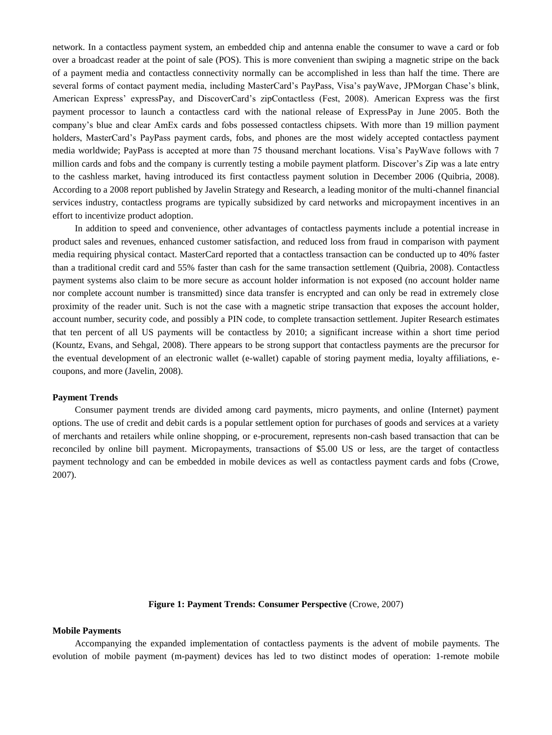network. In a contactless payment system, an embedded chip and antenna enable the consumer to wave a card or fob over a broadcast reader at the point of sale (POS). This is more convenient than swiping a magnetic stripe on the back of a payment media and contactless connectivity normally can be accomplished in less than half the time. There are several forms of contact payment media, including MasterCard's PayPass, Visa's payWave, JPMorgan Chase's blink, American Express' expressPay, and DiscoverCard's zipContactless (Fest, 2008). American Express was the first payment processor to launch a contactless card with the national release of ExpressPay in June 2005. Both the company's blue and clear AmEx cards and fobs possessed contactless chipsets. With more than 19 million payment holders, MasterCard's PayPass payment cards, fobs, and phones are the most widely accepted contactless payment media worldwide; PayPass is accepted at more than 75 thousand merchant locations. Visa's PayWave follows with 7 million cards and fobs and the company is currently testing a mobile payment platform. Discover's Zip was a late entry to the cashless market, having introduced its first contactless payment solution in December 2006 (Quibria, 2008). According to a 2008 report published by Javelin Strategy and Research, a leading monitor of the multi-channel financial services industry, contactless programs are typically subsidized by card networks and micropayment incentives in an effort to incentivize product adoption.

In addition to speed and convenience, other advantages of contactless payments include a potential increase in product sales and revenues, enhanced customer satisfaction, and reduced loss from fraud in comparison with payment media requiring physical contact. MasterCard reported that a contactless transaction can be conducted up to 40% faster than a traditional credit card and 55% faster than cash for the same transaction settlement (Quibria, 2008). Contactless payment systems also claim to be more secure as account holder information is not exposed (no account holder name nor complete account number is transmitted) since data transfer is encrypted and can only be read in extremely close proximity of the reader unit. Such is not the case with a magnetic stripe transaction that exposes the account holder, account number, security code, and possibly a PIN code, to complete transaction settlement. Jupiter Research estimates that ten percent of all US payments will be contactless by 2010; a significant increase within a short time period (Kountz, Evans, and Sehgal, 2008). There appears to be strong support that contactless payments are the precursor for the eventual development of an electronic wallet (e-wallet) capable of storing payment media, loyalty affiliations, ecoupons, and more (Javelin, 2008).

#### **Payment Trends**

Consumer payment trends are divided among card payments, micro payments, and online (Internet) payment options. The use of credit and debit cards is a popular settlement option for purchases of goods and services at a variety of merchants and retailers while online shopping, or e-procurement, represents non-cash based transaction that can be reconciled by online bill payment. Micropayments, transactions of \$5.00 US or less, are the target of contactless payment technology and can be embedded in mobile devices as well as contactless payment cards and fobs (Crowe, 2007).

**Figure 1: Payment Trends: Consumer Perspective** (Crowe, 2007)

#### **Mobile Payments**

Accompanying the expanded implementation of contactless payments is the advent of mobile payments. The evolution of mobile payment (m-payment) devices has led to two distinct modes of operation: 1-remote mobile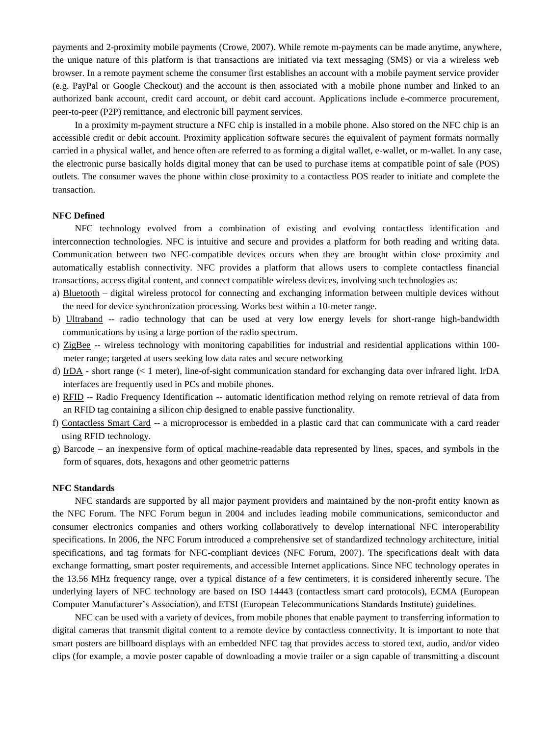payments and 2-proximity mobile payments (Crowe, 2007). While remote m-payments can be made anytime, anywhere, the unique nature of this platform is that transactions are initiated via text messaging (SMS) or via a wireless web browser. In a remote payment scheme the consumer first establishes an account with a mobile payment service provider (e.g. PayPal or Google Checkout) and the account is then associated with a mobile phone number and linked to an authorized bank account, credit card account, or debit card account. Applications include e-commerce procurement, peer-to-peer (P2P) remittance, and electronic bill payment services.

In a proximity m-payment structure a NFC chip is installed in a mobile phone. Also stored on the NFC chip is an accessible credit or debit account. Proximity application software secures the equivalent of payment formats normally carried in a physical wallet, and hence often are referred to as forming a digital wallet, e-wallet, or m-wallet. In any case, the electronic purse basically holds digital money that can be used to purchase items at compatible point of sale (POS) outlets. The consumer waves the phone within close proximity to a contactless POS reader to initiate and complete the transaction.

## **NFC Defined**

NFC technology evolved from a combination of existing and evolving contactless identification and interconnection technologies. NFC is intuitive and secure and provides a platform for both reading and writing data. Communication between two NFC-compatible devices occurs when they are brought within close proximity and automatically establish connectivity. NFC provides a platform that allows users to complete contactless financial transactions, access digital content, and connect compatible wireless devices, involving such technologies as:

- a) Bluetooth digital wireless protocol for connecting and exchanging information between multiple devices without the need for device synchronization processing. Works best within a 10-meter range.
- b) Ultraband -- radio technology that can be used at very low energy levels for short-range high-bandwidth communications by using a large portion of the radio spectrum.
- c) ZigBee -- wireless technology with monitoring capabilities for industrial and residential applications within 100 meter range; targeted at users seeking low data rates and secure networking
- d) IrDA **-** short range (< 1 meter), line-of-sight communication standard for exchanging data over infrared light. IrDA interfaces are frequently used in PCs and mobile phones.
- e) RFID -- Radio Frequency Identification -- automatic identification method relying on remote retrieval of data from an RFID tag containing a silicon chip designed to enable passive functionality.
- f) Contactless Smart Card -- a microprocessor is embedded in a plastic card that can communicate with a card reader using RFID technology.
- g) Barcode an inexpensive form of optical machine-readable data represented by lines, spaces, and symbols in the form of squares, dots, hexagons and other geometric patterns

## **NFC Standards**

NFC standards are supported by all major payment providers and maintained by the non-profit entity known as the NFC Forum. The NFC Forum begun in 2004 and includes leading mobile communications, semiconductor and consumer electronics companies and others working collaboratively to develop international NFC interoperability specifications. In 2006, the NFC Forum introduced a comprehensive set of standardized technology architecture, initial specifications, and tag formats for NFC-compliant devices (NFC Forum, 2007). The specifications dealt with data exchange formatting, smart poster requirements, and accessible Internet applications. Since NFC technology operates in the 13.56 MHz frequency range, over a typical distance of a few centimeters, it is considered inherently secure. The underlying layers of NFC technology are based on ISO 14443 (contactless smart card protocols), ECMA (European Computer Manufacturer's Association), and ETSI (European Telecommunications Standards Institute) guidelines.

NFC can be used with a variety of devices, from mobile phones that enable payment to transferring information to digital cameras that transmit digital content to a remote device by contactless connectivity. It is important to note that smart posters are billboard displays with an embedded NFC tag that provides access to stored text, audio, and/or video clips (for example, a movie poster capable of downloading a movie trailer or a sign capable of transmitting a discount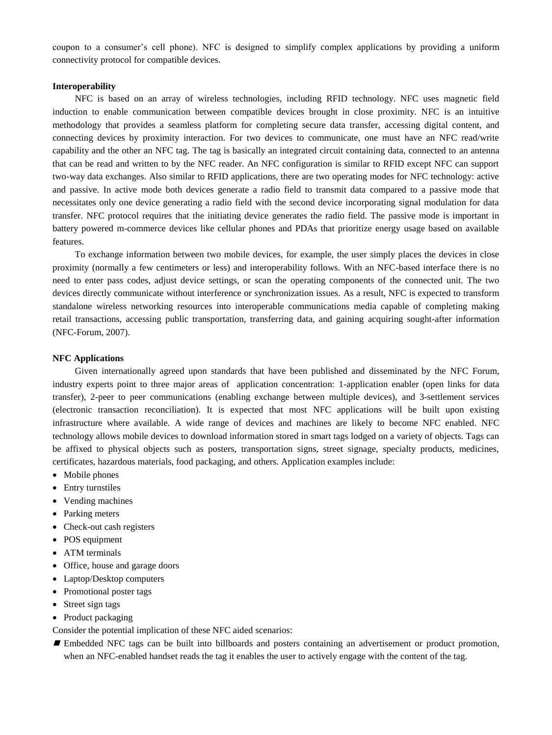coupon to a consumer's cell phone). NFC is designed to simplify complex applications by providing a uniform connectivity protocol for compatible devices.

## **Interoperability**

NFC is based on an array of wireless technologies, including RFID technology. NFC uses magnetic field induction to enable communication between compatible devices brought in close proximity. NFC is an intuitive methodology that provides a seamless platform for completing secure data transfer, accessing digital content, and connecting devices by proximity interaction. For two devices to communicate, one must have an NFC read/write capability and the other an NFC tag. The tag is basically an integrated circuit containing data, connected to an antenna that can be read and written to by the NFC reader. An NFC configuration is similar to RFID except NFC can support two-way data exchanges. Also similar to RFID applications, there are two operating modes for NFC technology: active and passive. In active mode both devices generate a radio field to transmit data compared to a passive mode that necessitates only one device generating a radio field with the second device incorporating signal modulation for data transfer. NFC protocol requires that the initiating device generates the radio field. The passive mode is important in battery powered m-commerce devices like cellular phones and PDAs that prioritize energy usage based on available features.

To exchange information between two mobile devices, for example, the user simply places the devices in close proximity (normally a few centimeters or less) and interoperability follows. With an NFC-based interface there is no need to enter pass codes, adjust device settings, or scan the operating components of the connected unit. The two devices directly communicate without interference or synchronization issues. As a result, NFC is expected to transform standalone wireless networking resources into interoperable communications media capable of completing making retail transactions, accessing public transportation, transferring data, and gaining acquiring sought-after information (NFC-Forum, 2007).

# **NFC Applications**

Given internationally agreed upon standards that have been published and disseminated by the NFC Forum, industry experts point to three major areas of application concentration: 1-application enabler (open links for data transfer), 2-peer to peer communications (enabling exchange between multiple devices), and 3-settlement services (electronic transaction reconciliation). It is expected that most NFC applications will be built upon existing infrastructure where available. A wide range of devices and machines are likely to become NFC enabled. NFC technology allows mobile devices to download information stored in smart tags lodged on a variety of objects. Tags can be affixed to physical objects such as posters, transportation signs, street signage, specialty products, medicines, certificates, hazardous materials, food packaging, and others. Application examples include:

- Mobile phones
- Entry turnstiles
- Vending machines
- Parking meters
- Check-out cash registers
- POS equipment
- ATM terminals
- Office, house and garage doors
- Laptop/Desktop computers
- Promotional poster tags
- Street sign tags
- Product packaging

Consider the potential implication of these NFC aided scenarios:

 Embedded NFC tags can be built into billboards and posters containing an advertisement or product promotion, when an NFC-enabled handset reads the tag it enables the user to actively engage with the content of the tag.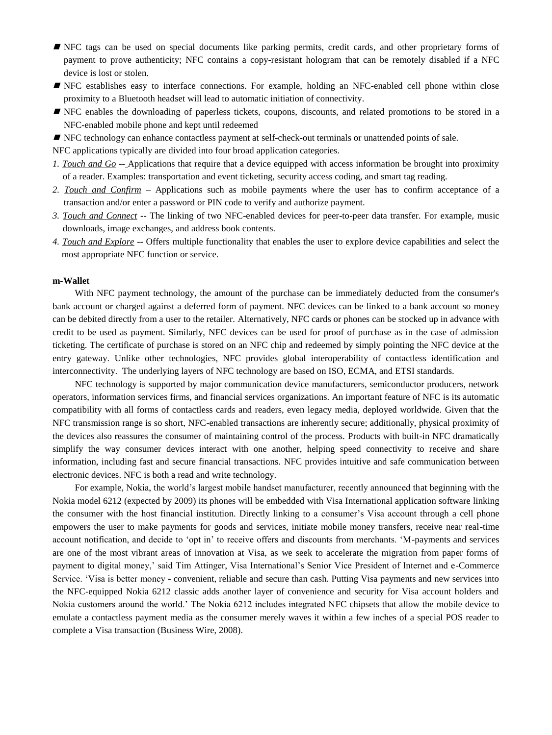- NFC tags can be used on special documents like parking permits, credit cards, and other proprietary forms of payment to prove authenticity; NFC contains a copy-resistant hologram that can be remotely disabled if a NFC device is lost or stolen.
- NFC establishes easy to interface connections. For example, holding an NFC-enabled cell phone within close proximity to a Bluetooth headset will lead to automatic initiation of connectivity.
- NFC enables the downloading of paperless tickets, coupons, discounts, and related promotions to be stored in a NFC-enabled mobile phone and kept until redeemed
- NFC technology can enhance contactless payment at self-check-out terminals or unattended points of sale.

NFC applications typically are divided into four broad application categories.

- *1. Touch and Go --* Applications that require that a device equipped with access information be brought into proximity of a reader. Examples: transportation and event ticketing, security access coding, and smart tag reading.
- *2. Touch and Confirm –* Applications such as mobile payments where the user has to confirm acceptance of a transaction and/or enter a password or PIN code to verify and authorize payment.
- *3. Touch and Connect --* The linking of two NFC-enabled devices for peer-to-peer data transfer. For example, music downloads, image exchanges, and address book contents.
- *4. Touch and Explore --* Offers multiple functionality that enables the user to explore device capabilities and select the most appropriate NFC function or service.

#### **m-Wallet**

With NFC payment technology, the amount of the purchase can be immediately deducted from the consumer's bank account or charged against a deferred form of payment. NFC devices can be linked to a bank account so money can be debited directly from a user to the retailer. Alternatively, NFC cards or phones can be stocked up in advance with credit to be used as payment. Similarly, NFC devices can be used for proof of purchase as in the case of admission ticketing. The certificate of purchase is stored on an NFC chip and redeemed by simply pointing the NFC device at the entry gateway. Unlike other technologies, NFC provides global interoperability of contactless identification and interconnectivity. The underlying layers of NFC technology are based on ISO, ECMA, and ETSI standards.

NFC technology is supported by major communication device manufacturers, semiconductor producers, network operators, information services firms, and financial services organizations. An important feature of NFC is its automatic compatibility with all forms of contactless cards and readers, even legacy media, deployed worldwide. Given that the NFC transmission range is so short, NFC-enabled transactions are inherently secure; additionally, physical proximity of the devices also reassures the consumer of maintaining control of the process. Products with built-in NFC dramatically simplify the way consumer devices interact with one another, helping speed connectivity to receive and share information, including fast and secure financial transactions. NFC provides intuitive and safe communication between electronic devices. NFC is both a read and write technology.

For example, Nokia, the world's largest mobile handset manufacturer, recently announced that beginning with the Nokia model 6212 (expected by 2009) its phones will be embedded with Visa International application software linking the consumer with the host financial institution. Directly linking to a consumer's Visa account through a cell phone empowers the user to make payments for goods and services, initiate mobile money transfers, receive near real-time account notification, and decide to 'opt in' to receive offers and discounts from merchants. 'M-payments and services are one of the most vibrant areas of innovation at Visa, as we seek to accelerate the migration from paper forms of payment to digital money,' said Tim Attinger, Visa International's Senior Vice President of Internet and e-Commerce Service. ‗Visa is better money - convenient, reliable and secure than cash. Putting Visa payments and new services into the NFC-equipped Nokia 6212 classic adds another layer of convenience and security for Visa account holders and Nokia customers around the world.' The Nokia 6212 includes integrated NFC chipsets that allow the mobile device to emulate a contactless payment media as the consumer merely waves it within a few inches of a special POS reader to complete a Visa transaction (Business Wire, 2008).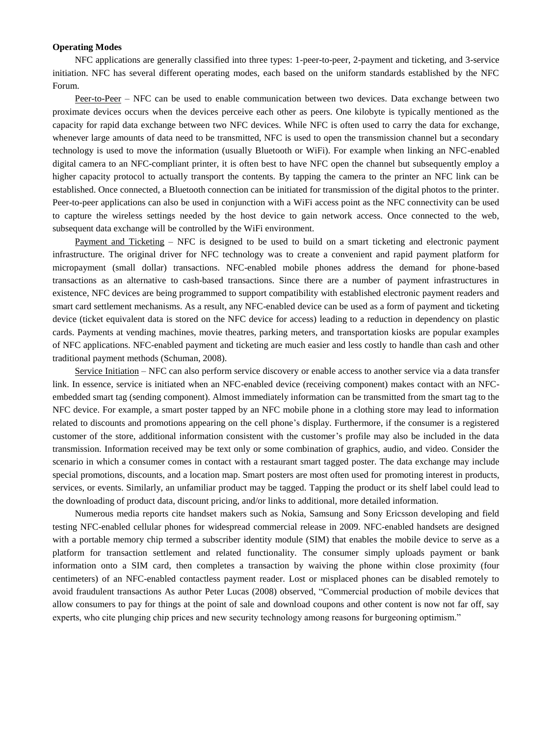# **Operating Modes**

NFC applications are generally classified into three types: 1-peer-to-peer, 2-payment and ticketing, and 3-service initiation. NFC has several different operating modes, each based on the uniform standards established by the NFC Forum.

Peer-to-Peer – NFC can be used to enable communication between two devices. Data exchange between two proximate devices occurs when the devices perceive each other as peers. One kilobyte is typically mentioned as the capacity for rapid data exchange between two NFC devices. While NFC is often used to carry the data for exchange, whenever large amounts of data need to be transmitted, NFC is used to open the transmission channel but a secondary technology is used to move the information (usually Bluetooth or WiFi). For example when linking an NFC-enabled digital camera to an NFC-compliant printer, it is often best to have NFC open the channel but subsequently employ a higher capacity protocol to actually transport the contents. By tapping the camera to the printer an NFC link can be established. Once connected, a Bluetooth connection can be initiated for transmission of the digital photos to the printer. Peer-to-peer applications can also be used in conjunction with a WiFi access point as the NFC connectivity can be used to capture the wireless settings needed by the host device to gain network access. Once connected to the web, subsequent data exchange will be controlled by the WiFi environment.

Payment and Ticketing – NFC is designed to be used to build on a smart ticketing and electronic payment infrastructure. The original driver for NFC technology was to create a convenient and rapid payment platform for micropayment (small dollar) transactions. NFC-enabled mobile phones address the demand for phone-based transactions as an alternative to cash-based transactions. Since there are a number of payment infrastructures in existence, NFC devices are being programmed to support compatibility with established electronic payment readers and smart card settlement mechanisms. As a result, any NFC-enabled device can be used as a form of payment and ticketing device (ticket equivalent data is stored on the NFC device for access) leading to a reduction in dependency on plastic cards. Payments at vending machines, movie theatres, parking meters, and transportation kiosks are popular examples of NFC applications. NFC-enabled payment and ticketing are much easier and less costly to handle than cash and other traditional payment methods (Schuman, 2008).

Service Initiation – NFC can also perform service discovery or enable access to another service via a data transfer link. In essence, service is initiated when an NFC-enabled device (receiving component) makes contact with an NFCembedded smart tag (sending component). Almost immediately information can be transmitted from the smart tag to the NFC device. For example, a smart poster tapped by an NFC mobile phone in a clothing store may lead to information related to discounts and promotions appearing on the cell phone's display. Furthermore, if the consumer is a registered customer of the store, additional information consistent with the customer's profile may also be included in the data transmission. Information received may be text only or some combination of graphics, audio, and video. Consider the scenario in which a consumer comes in contact with a restaurant smart tagged poster. The data exchange may include special promotions, discounts, and a location map. Smart posters are most often used for promoting interest in products, services, or events. Similarly, an unfamiliar product may be tagged. Tapping the product or its shelf label could lead to the downloading of product data, discount pricing, and/or links to additional, more detailed information.

Numerous media reports cite handset makers such as Nokia, Samsung and Sony Ericsson developing and field testing NFC-enabled cellular phones for widespread commercial release in 2009. NFC-enabled handsets are designed with a portable memory chip termed a subscriber identity module (SIM) that enables the mobile device to serve as a platform for transaction settlement and related functionality. The consumer simply uploads payment or bank information onto a SIM card, then completes a transaction by waiving the phone within close proximity (four centimeters) of an NFC-enabled contactless payment reader. Lost or misplaced phones can be disabled remotely to avoid fraudulent transactions As author Peter Lucas (2008) observed, "Commercial production of mobile devices that allow consumers to pay for things at the point of sale and download coupons and other content is now not far off, say experts, who cite plunging chip prices and new security technology among reasons for burgeoning optimism."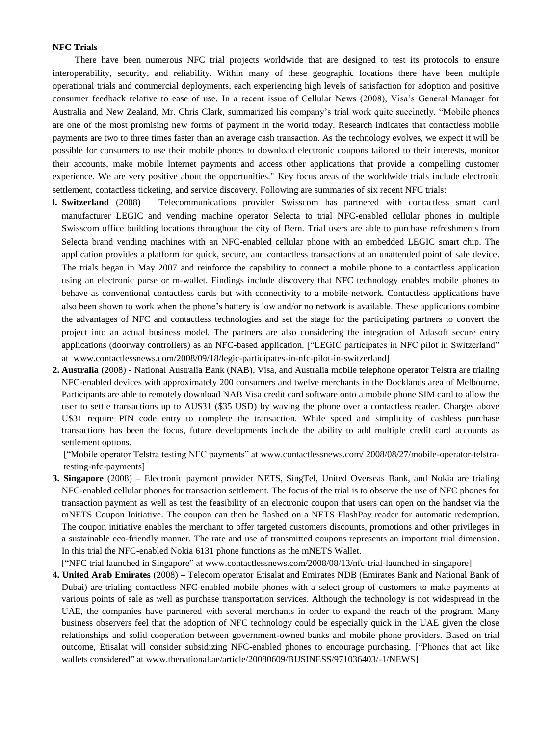# **NFC Trials**

There have been numerous NFC trial projects worldwide that are designed to test its protocols to ensure interoperability, security, and reliability. Within many of these geographic locations there have been multiple operational trials and commercial deployments, each experiencing high levels of satisfaction for adoption and positive consumer feedback relative to ease of use. In a recent issue of Cellular News (2008), Visa's General Manager for Australia and New Zealand, Mr. Chris Clark, summarized his company's trial work quite succinctly, "Mobile phones are one of the most promising new forms of payment in the world today. Research indicates that contactless mobile payments are two to three times faster than an average cash transaction. As the technology evolves, we expect it will be possible for consumers to use their mobile phones to download electronic coupons tailored to their interests, monitor their accounts, make mobile Internet payments and access other applications that provide a compelling customer experience. We are very positive about the opportunities." Key focus areas of the worldwide trials include electronic settlement, contactless ticketing, and service discovery. Following are summaries of six recent NFC trials:

- **l. Switzerland** (2008) Telecommunications provider Swisscom has partnered with contactless smart card manufacturer LEGIC and vending machine operator Selecta to trial NFC-enabled cellular phones in multiple Swisscom office building locations throughout the city of Bern. Trial users are able to purchase refreshments from Selecta brand vending machines with an NFC-enabled cellular phone with an embedded LEGIC smart chip. The application provides a platform for quick, secure, and contactless transactions at an unattended point of sale device. The trials began in May 2007 and reinforce the capability to connect a mobile phone to a contactless application using an electronic purse or m-wallet. Findings include discovery that NFC technology enables mobile phones to behave as conventional contactless cards but with connectivity to a mobile network. Contactless applications have also been shown to work when the phone's battery is low and/or no network is available. These applications combine the advantages of NFC and contactless technologies and set the stage for the participating partners to convert the project into an actual business model. The partners are also considering the integration of Adasoft secure entry applications (doorway controllers) as an NFC-based application. ["LEGIC participates in NFC pilot in Switzerland" at www.contactlessnews.com/2008/09/18/legic-participates-in-nfc-pilot-in-switzerland]
- **2. Australia** (2008) **-** National Australia Bank (NAB), Visa, and Australia mobile telephone operator Telstra are trialing NFC-enabled devices with approximately 200 consumers and twelve merchants in the Docklands area of Melbourne. Participants are able to remotely download NAB Visa credit card software onto a mobile phone SIM card to allow the user to settle transactions up to AU\$31 (\$35 USD) by waving the phone over a contactless reader. Charges above U\$31 require PIN code entry to complete the transaction. While speed and simplicity of cashless purchase transactions has been the focus, future developments include the ability to add multiple credit card accounts as settlement options.

["Mobile operator Telstra testing NFC payments" at www.contactlessnews.com/ 2008/08/27/mobile-operator-telstratesting-nfc-payments]

**3. Singapore** (2008) **–** Electronic payment provider NETS, SingTel, United Overseas Bank, and Nokia are trialing NFC-enabled cellular phones for transaction settlement. The focus of the trial is to observe the use of NFC phones for transaction payment as well as test the feasibility of an electronic coupon that users can open on the handset via the mNETS Coupon Initiative. The coupon can then be flashed on a NETS FlashPay reader for automatic redemption. The coupon initiative enables the merchant to offer targeted customers discounts, promotions and other privileges in a sustainable eco-friendly manner. The rate and use of transmitted coupons represents an important trial dimension. In this trial the NFC-enabled Nokia 6131 phone functions as the mNETS Wallet.

['NFC trial launched in Singapore" at www.contactlessnews.com/2008/08/13/nfc-trial-launched-in-singapore]

**4. United Arab Emirates** (2008) **–** Telecom operator Etisalat and Emirates NDB (Emirates Bank and National Bank of Dubai) are trialing contactless NFC-enabled mobile phones with a select group of customers to make payments at various points of sale as well as purchase transportation services. Although the technology is not widespread in the UAE, the companies have partnered with several merchants in order to expand the reach of the program. Many business observers feel that the adoption of NFC technology could be especially quick in the UAE given the close relationships and solid cooperation between government-owned banks and mobile phone providers. Based on trial outcome, Etisalat will consider subsidizing NFC-enabled phones to encourage purchasing. ["Phones that act like wallets considered" at www.thenational.ae/article/20080609/BUSINESS/971036403/-1/NEWS]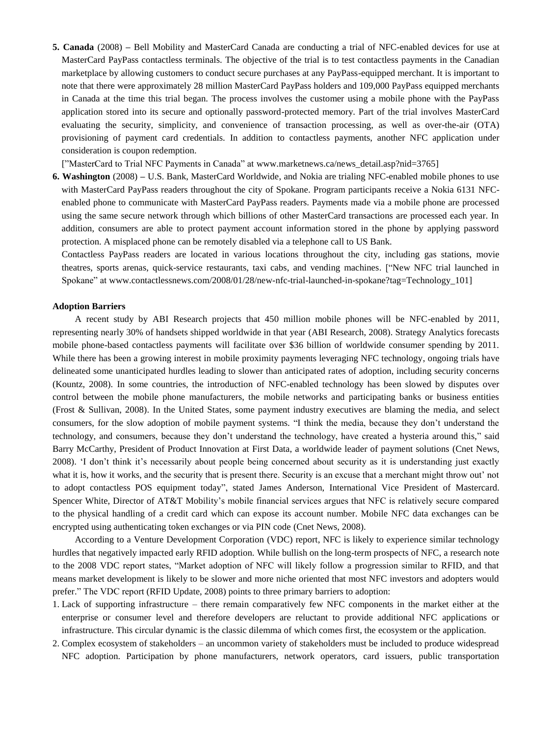**5. Canada** (2008) **–** Bell Mobility and MasterCard Canada are conducting a trial of NFC-enabled devices for use at MasterCard PayPass contactless terminals. The objective of the trial is to test contactless payments in the Canadian marketplace by allowing customers to conduct secure purchases at any PayPass-equipped merchant. It is important to note that there were approximately 28 million MasterCard PayPass holders and 109,000 PayPass equipped merchants in Canada at the time this trial began. The process involves the customer using a mobile phone with the PayPass application stored into its secure and optionally password-protected memory. Part of the trial involves MasterCard evaluating the security, simplicity, and convenience of transaction processing, as well as over-the-air (OTA) provisioning of payment card credentials. In addition to contactless payments, another NFC application under consideration is coupon redemption.

["MasterCard to Trial NFC Payments in Canada" at www.marketnews.ca/news\_detail.asp?nid=3765]

**6. Washington** (2008) **–** U.S. Bank, MasterCard Worldwide, and Nokia are trialing NFC-enabled mobile phones to use with MasterCard PayPass readers throughout the city of Spokane. Program participants receive a Nokia 6131 NFCenabled phone to communicate with MasterCard PayPass readers. Payments made via a mobile phone are processed using the same secure network through which billions of other MasterCard transactions are processed each year. In addition, consumers are able to protect payment account information stored in the phone by applying password protection. A misplaced phone can be remotely disabled via a telephone call to US Bank.

Contactless PayPass readers are located in various locations throughout the city, including gas stations, movie theatres, sports arenas, quick-service restaurants, taxi cabs, and vending machines. ["New NFC trial launched in Spokane" at www.contactlessnews.com/2008/01/28/new-nfc-trial-launched-in-spokane?tag=Technology 101]

# **Adoption Barriers**

A recent study by ABI Research projects that 450 million mobile phones will be NFC-enabled by 2011, representing nearly 30% of handsets shipped worldwide in that year (ABI Research, 2008). Strategy Analytics forecasts mobile phone-based contactless payments will facilitate over \$36 billion of worldwide consumer spending by 2011. While there has been a growing interest in mobile proximity payments leveraging NFC technology, ongoing trials have delineated some unanticipated hurdles leading to slower than anticipated rates of adoption, including security concerns (Kountz, 2008). In some countries, the introduction of NFC-enabled technology has been slowed by disputes over control between the mobile phone manufacturers, the mobile networks and participating banks or business entities (Frost & Sullivan, 2008). In the United States, some payment industry executives are blaming the media, and select consumers, for the slow adoption of mobile payment systems. "I think the media, because they don't understand the technology, and consumers, because they don't understand the technology, have created a hysteria around this," said Barry McCarthy, President of Product Innovation at First Data, a worldwide leader of payment solutions (Cnet News, 2008). ‗I don't think it's necessarily about people being concerned about security as it is understanding just exactly what it is, how it works, and the security that is present there. Security is an excuse that a merchant might throw out' not to adopt contactless POS equipment today", stated James Anderson, International Vice President of Mastercard. Spencer White, Director of AT&T Mobility's mobile financial services argues that NFC is relatively secure compared to the physical handling of a credit card which can expose its account number. Mobile NFC data exchanges can be encrypted using authenticating token exchanges or via PIN code (Cnet News, 2008).

According to a Venture Development Corporation (VDC) report, NFC is likely to experience similar technology hurdles that negatively impacted early RFID adoption. While bullish on the long-term prospects of NFC, a research note to the 2008 VDC report states, "Market adoption of NFC will likely follow a progression similar to RFID, and that means market development is likely to be slower and more niche oriented that most NFC investors and adopters would prefer.‖ The VDC report (RFID Update, 2008) points to three primary barriers to adoption:

- 1. Lack of supporting infrastructure there remain comparatively few NFC components in the market either at the enterprise or consumer level and therefore developers are reluctant to provide additional NFC applications or infrastructure. This circular dynamic is the classic dilemma of which comes first, the ecosystem or the application.
- 2. Complex ecosystem of stakeholders an uncommon variety of stakeholders must be included to produce widespread NFC adoption. Participation by phone manufacturers, network operators, card issuers, public transportation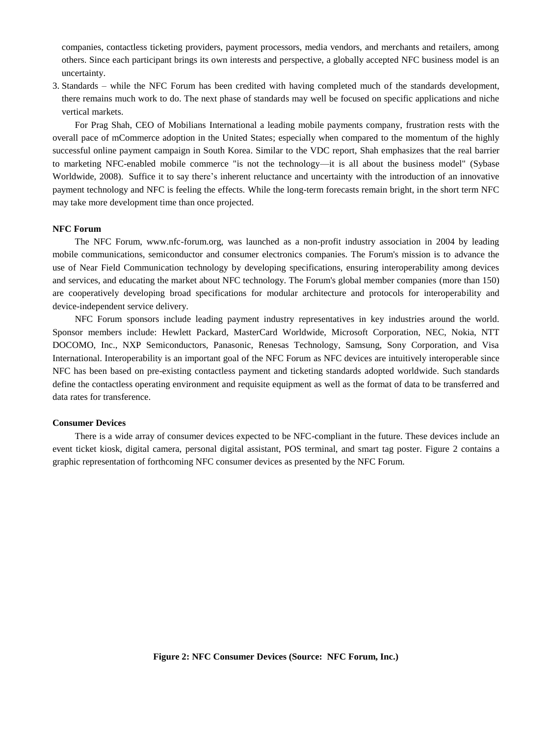companies, contactless ticketing providers, payment processors, media vendors, and merchants and retailers, among others. Since each participant brings its own interests and perspective, a globally accepted NFC business model is an uncertainty.

3. Standards – while the NFC Forum has been credited with having completed much of the standards development, there remains much work to do. The next phase of standards may well be focused on specific applications and niche vertical markets.

For Prag Shah, CEO of Mobilians International a leading mobile payments company, frustration rests with the overall pace of mCommerce adoption in the United States; especially when compared to the momentum of the highly successful online payment campaign in South Korea. Similar to the VDC report, Shah emphasizes that the real barrier to marketing NFC-enabled mobile commerce "is not the technology—it is all about the business model" (Sybase Worldwide, 2008). Suffice it to say there's inherent reluctance and uncertainty with the introduction of an innovative payment technology and NFC is feeling the effects. While the long-term forecasts remain bright, in the short term NFC may take more development time than once projected.

# **NFC Forum**

The NFC Forum, www.nfc-forum.org, was launched as a non-profit industry association in 2004 by leading mobile communications, semiconductor and consumer electronics companies. The Forum's mission is to advance the use of Near Field Communication technology by developing specifications, ensuring interoperability among devices and services, and educating the market about NFC technology. The Forum's global member companies (more than 150) are cooperatively developing broad specifications for modular architecture and protocols for interoperability and device-independent service delivery.

NFC Forum sponsors include leading payment industry representatives in key industries around the world. Sponsor members include: Hewlett Packard, MasterCard Worldwide, Microsoft Corporation, NEC, Nokia, NTT DOCOMO, Inc., NXP Semiconductors, Panasonic, Renesas Technology, Samsung, Sony Corporation, and Visa International. Interoperability is an important goal of the NFC Forum as NFC devices are intuitively interoperable since NFC has been based on pre-existing contactless payment and ticketing standards adopted worldwide. Such standards define the contactless operating environment and requisite equipment as well as the format of data to be transferred and data rates for transference.

# **Consumer Devices**

There is a wide array of consumer devices expected to be NFC-compliant in the future. These devices include an event ticket kiosk, digital camera, personal digital assistant, POS terminal, and smart tag poster. Figure 2 contains a graphic representation of forthcoming NFC consumer devices as presented by the NFC Forum.